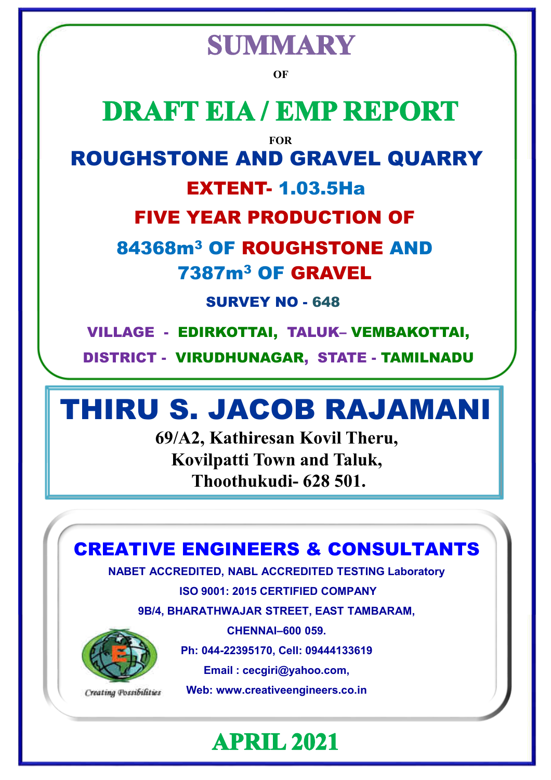# **SUMMARY**

**OF**

# **DRAFT EIA / EMP REPORT**

**FOR**

### ROUGHSTONE AND GRAVEL QUARRY

### EXTENT- 1.03.5Ha

### FIVE YEAR PRODUCTION OF

### 84368m<sup>3</sup> OF ROUGHSTONE AND 7387m<sup>3</sup> OF GRAVEL

SURVEY NO - 648

VILLAGE - EDIRKOTTAI, TALUK– VEMBAKOTTAI,

DISTRICT - VIRUDHUNAGAR, STATE - TAMILNADU

# THIRU S. JACOB RAJAMANI

**69/A2, Kathiresan Kovil Theru, Kovilpatti Town and Taluk, Thoothukudi- 628 501.**

CREATIVE ENGINEERS & CONSULTANTS

**NABET ACCREDITED, NABL ACCREDITED TESTING Laboratory**

**ISO 9001: 2015 CERTIFIED COMPANY**

**9B/4, BHARATHWAJAR STREET, EAST TAMBARAM,**



Creating Possibilities

**CHENNAI–600 059.**

**Ph: 044-22395170, Cell: 09444133619**

**Email : cecgiri@yahoo.com,**

**Web: www.creativeengineers.co.in**

**APRIL 2021**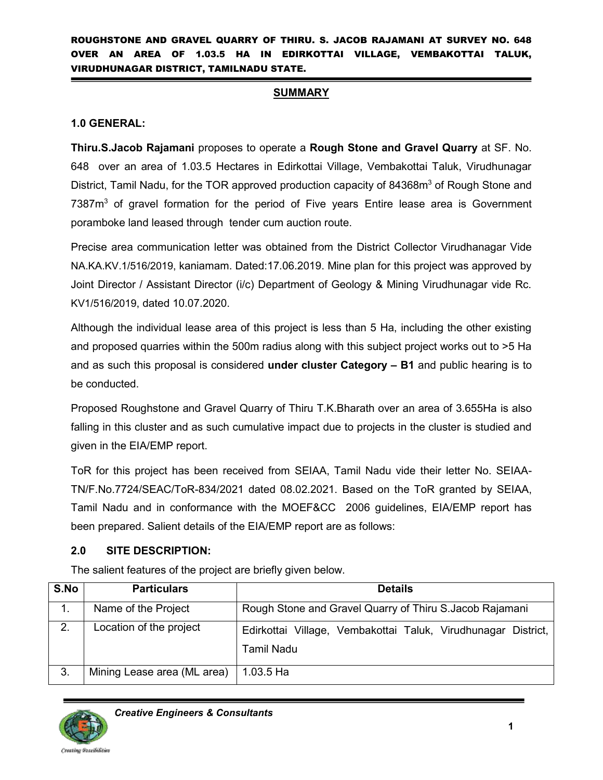#### **SUMMARY**

#### **1.0 GENERAL:**

**Thiru.S.Jacob Rajamani** proposes to operate a **Rough Stone and Gravel Quarry** at SF. No. 648 over an area of 1.03.5 Hectares in Edirkottai Village, Vembakottai Taluk, Virudhunagar District, Tamil Nadu, for the TOR approved production capacity of 84368m<sup>3</sup> of Rough Stone and 7387m<sup>3</sup> of gravel formation for the period of Five years Entire lease area is Government poramboke land leased through tender cum auction route.

Precise area communication letter was obtained from the District Collector Virudhanagar Vide NA.KA.KV.1/516/2019, kaniamam. Dated:17.06.2019. Mine plan for this project was approved by Joint Director / Assistant Director (i/c) Department of Geology & Mining Virudhunagar vide Rc. KV1/516/2019, dated 10.07.2020.

Although the individual lease area of this project is less than 5 Ha, including the other existing and proposed quarries within the 500m radius along with this subject project works out to >5 Ha and as such this proposal is considered **under cluster Category – B1** and public hearing is to be conducted.

Proposed Roughstone and Gravel Quarry of Thiru T.K.Bharath over an area of 3.655Ha is also falling in this cluster and as such cumulative impact due to projects in the cluster is studied and given in the EIA/EMP report.

ToR for this project has been received from SEIAA, Tamil Nadu vide their letter No. SEIAA-TN/F.No.7724/SEAC/ToR-834/2021 dated 08.02.2021. Based on the ToR granted by SEIAA, Tamil Nadu and in conformance with the MOEF&CC 2006 guidelines, EIA/EMP report has been prepared. Salient details of the EIA/EMP report are as follows:

#### **2.0 SITE DESCRIPTION:**

The salient features of the project are briefly given below.

| S.No | <b>Particulars</b>                                                              | <b>Details</b>                                                                     |  |  |  |  |  |  |  |  |
|------|---------------------------------------------------------------------------------|------------------------------------------------------------------------------------|--|--|--|--|--|--|--|--|
|      | Name of the Project<br>Rough Stone and Gravel Quarry of Thiru S. Jacob Rajamani |                                                                                    |  |  |  |  |  |  |  |  |
| 2.   | Location of the project                                                         | Edirkottai Village, Vembakottai Taluk, Virudhunagar District,<br><b>Tamil Nadu</b> |  |  |  |  |  |  |  |  |
| 3.   | Mining Lease area (ML area)                                                     | <sub>l</sub> 1.03.5 Ha                                                             |  |  |  |  |  |  |  |  |

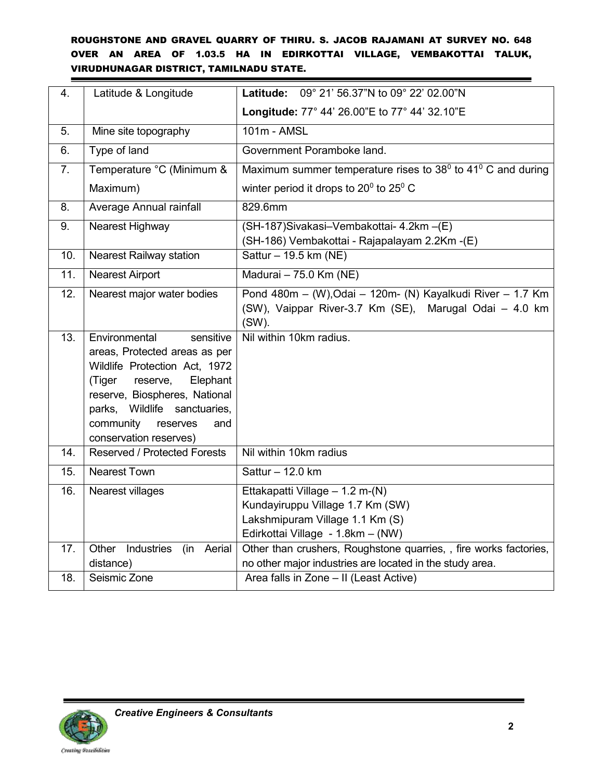| 4.  | Latitude & Longitude                                                                                                                                                                                                                                         | Latitude: 09° 21' 56.37"N to 09° 22' 02.00"N                                                                                                |
|-----|--------------------------------------------------------------------------------------------------------------------------------------------------------------------------------------------------------------------------------------------------------------|---------------------------------------------------------------------------------------------------------------------------------------------|
|     |                                                                                                                                                                                                                                                              | Longitude: 77° 44' 26.00"E to 77° 44' 32.10"E                                                                                               |
| 5.  | Mine site topography                                                                                                                                                                                                                                         | 101m - AMSL                                                                                                                                 |
| 6.  | Type of land                                                                                                                                                                                                                                                 | Government Poramboke land.                                                                                                                  |
| 7.  | Temperature °C (Minimum &                                                                                                                                                                                                                                    | Maximum summer temperature rises to $38^{\circ}$ to $41^{\circ}$ C and during                                                               |
|     | Maximum)                                                                                                                                                                                                                                                     | winter period it drops to $20^0$ to $25^0$ C                                                                                                |
| 8.  | Average Annual rainfall                                                                                                                                                                                                                                      | 829.6mm                                                                                                                                     |
| 9.  | Nearest Highway                                                                                                                                                                                                                                              | (SH-187) Sivakasi-Vembakottai- 4.2km - (E)<br>(SH-186) Vembakottai - Rajapalayam 2.2Km -(E)                                                 |
| 10. | <b>Nearest Railway station</b>                                                                                                                                                                                                                               | Sattur - 19.5 km (NE)                                                                                                                       |
| 11. | <b>Nearest Airport</b>                                                                                                                                                                                                                                       | Madurai - 75.0 Km (NE)                                                                                                                      |
| 12. | Nearest major water bodies                                                                                                                                                                                                                                   | Pond 480m - (W), Odai - 120m- (N) Kayalkudi River - 1.7 Km<br>(SW), Vaippar River-3.7 Km (SE), Marugal Odai - 4.0 km<br>$(SW)$ .            |
| 13. | Environmental<br>sensitive<br>areas, Protected areas as per<br>Wildlife Protection Act, 1972<br>Elephant<br>(Tiger<br>reserve,<br>reserve, Biospheres, National<br>parks, Wildlife<br>sanctuaries,<br>community<br>reserves<br>and<br>conservation reserves) | Nil within 10km radius.                                                                                                                     |
| 14. | <b>Reserved / Protected Forests</b>                                                                                                                                                                                                                          | Nil within 10km radius                                                                                                                      |
| 15. | <b>Nearest Town</b>                                                                                                                                                                                                                                          | Sattur - 12.0 km                                                                                                                            |
| 16. | Nearest villages                                                                                                                                                                                                                                             | Ettakapatti Village - 1.2 m-(N)<br>Kundayiruppu Village 1.7 Km (SW)<br>Lakshmipuram Village 1.1 Km (S)<br>Edirkottai Village - 1.8km - (NW) |
| 17. | Other<br>Industries<br>(in Aerial<br>distance)                                                                                                                                                                                                               | Other than crushers, Roughstone quarries, , fire works factories,<br>no other major industries are located in the study area.               |
| 18. | Seismic Zone                                                                                                                                                                                                                                                 | Area falls in Zone - II (Least Active)                                                                                                      |

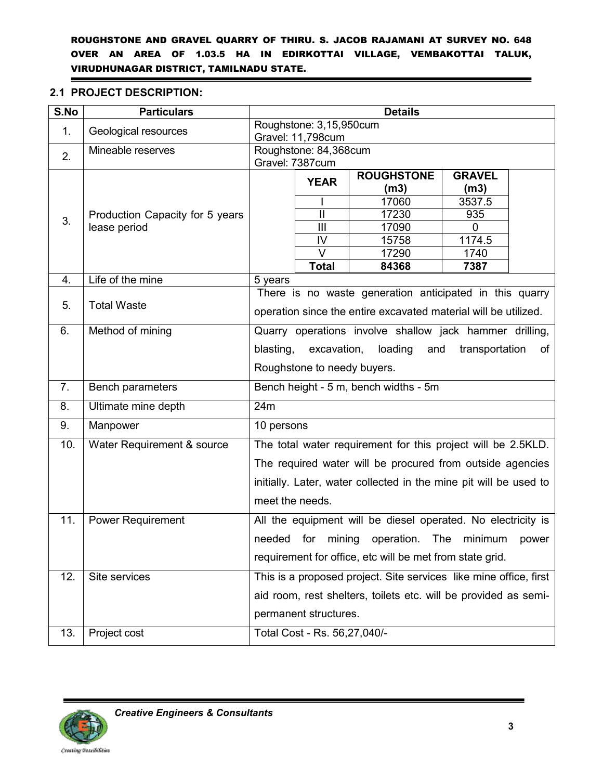#### **2.1 PROJECT DESCRIPTION:**

| S.No | <b>Particulars</b>              | <b>Details</b>                                                     |                              |                                                                   |                |       |  |  |
|------|---------------------------------|--------------------------------------------------------------------|------------------------------|-------------------------------------------------------------------|----------------|-------|--|--|
| 1.   | Geological resources            |                                                                    | Roughstone: 3,15,950cum      |                                                                   |                |       |  |  |
|      |                                 |                                                                    | Gravel: 11,798cum            |                                                                   |                |       |  |  |
| 2.   | Mineable reserves               |                                                                    | Roughstone: 84,368cum        |                                                                   |                |       |  |  |
|      |                                 |                                                                    | Gravel: 7387cum              |                                                                   |                |       |  |  |
|      |                                 | <b>YEAR</b>                                                        |                              | <b>ROUGHSTONE</b>                                                 | <b>GRAVEL</b>  |       |  |  |
|      |                                 |                                                                    |                              | (m3)<br>17060                                                     | (m3)<br>3537.5 |       |  |  |
|      | Production Capacity for 5 years |                                                                    | $\mathbf{I}$                 | 17230                                                             | 935            |       |  |  |
| 3.   | lease period                    |                                                                    | $\mathbf{III}$               | 17090                                                             | 0              |       |  |  |
|      |                                 |                                                                    | IV                           | 15758                                                             | 1174.5         |       |  |  |
|      |                                 |                                                                    | $\vee$                       | 17290                                                             | 1740           |       |  |  |
|      |                                 |                                                                    | <b>Total</b>                 | 84368                                                             | 7387           |       |  |  |
| 4.   | Life of the mine                | 5 years                                                            |                              |                                                                   |                |       |  |  |
|      |                                 |                                                                    |                              | There is no waste generation anticipated in this quarry           |                |       |  |  |
| 5.   | <b>Total Waste</b>              | operation since the entire excavated material will be utilized.    |                              |                                                                   |                |       |  |  |
| 6.   | Method of mining                | Quarry operations involve shallow jack hammer drilling,            |                              |                                                                   |                |       |  |  |
|      |                                 | loading<br>blasting,<br>excavation,<br>and<br>transportation<br>of |                              |                                                                   |                |       |  |  |
|      |                                 |                                                                    | Roughstone to needy buyers.  |                                                                   |                |       |  |  |
| 7.   | Bench parameters                |                                                                    |                              | Bench height - 5 m, bench widths - 5m                             |                |       |  |  |
| 8.   | Ultimate mine depth             | 24m                                                                |                              |                                                                   |                |       |  |  |
| 9.   | Manpower                        | 10 persons                                                         |                              |                                                                   |                |       |  |  |
| 10.  | Water Requirement & source      |                                                                    |                              | The total water requirement for this project will be 2.5KLD.      |                |       |  |  |
|      |                                 |                                                                    |                              | The required water will be procured from outside agencies         |                |       |  |  |
|      |                                 |                                                                    |                              | initially. Later, water collected in the mine pit will be used to |                |       |  |  |
|      |                                 | meet the needs.                                                    |                              |                                                                   |                |       |  |  |
| 11.  | <b>Power Requirement</b>        |                                                                    |                              | All the equipment will be diesel operated. No electricity is      |                |       |  |  |
|      |                                 |                                                                    | needed for mining            | operation.                                                        | The<br>minimum | power |  |  |
|      |                                 |                                                                    |                              | requirement for office, etc will be met from state grid.          |                |       |  |  |
| 12.  | Site services                   |                                                                    |                              | This is a proposed project. Site services like mine office, first |                |       |  |  |
|      |                                 |                                                                    |                              | aid room, rest shelters, toilets etc. will be provided as semi-   |                |       |  |  |
|      |                                 |                                                                    | permanent structures.        |                                                                   |                |       |  |  |
| 13.  | Project cost                    |                                                                    | Total Cost - Rs. 56,27,040/- |                                                                   |                |       |  |  |



 $\blacksquare$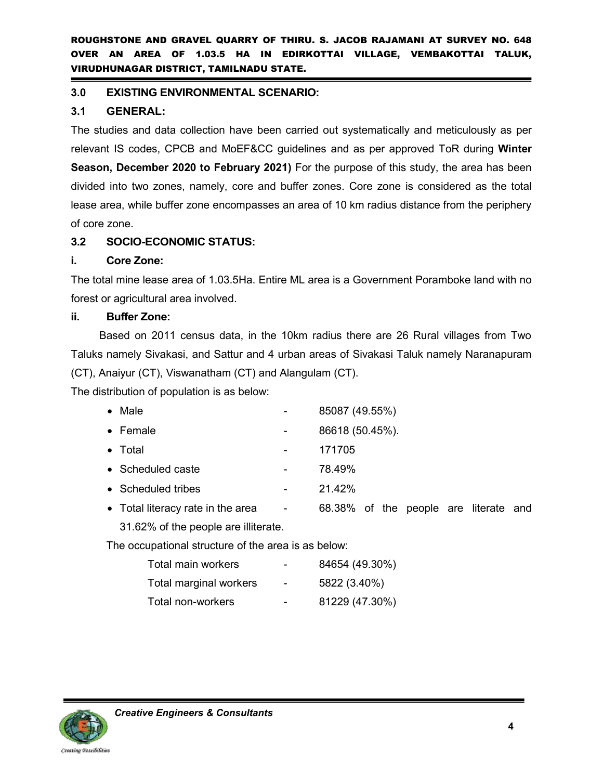#### **3.0 EXISTING ENVIRONMENTAL SCENARIO:**

#### **3.1 GENERAL:**

The studies and data collection have been carried out systematically and meticulously as per relevant IS codes, CPCB and MoEF&CC guidelines and as per approved ToR during **Winter Season, December 2020 to February 2021)** For the purpose of this study, the area has been divided into two zones, namely, core and buffer zones. Core zone is considered as the total lease area, while buffer zone encompasses an area of 10 km radius distance from the periphery of core zone.

#### **3.2 SOCIO-ECONOMIC STATUS:**

#### **i. Core Zone:**

The total mine lease area of 1.03.5Ha. Entire ML area is a Government Poramboke land with no forest or agricultural area involved.

#### **ii. Buffer Zone:**

Based on 2011 census data, in the 10km radius there are 26 Rural villages from Two Taluks namely Sivakasi, and Sattur and 4 urban areas of Sivakasi Taluk namely Naranapuram (CT), Anaiyur (CT), Viswanatham (CT) and Alangulam (CT).

The distribution of population is as below:

| $\bullet$ Male                                      |                         | 85087 (49.55%)                        |  |  |  |
|-----------------------------------------------------|-------------------------|---------------------------------------|--|--|--|
| $\bullet$ Female                                    |                         | 86618 (50.45%).                       |  |  |  |
| $\bullet$ Total                                     |                         | 171705                                |  |  |  |
| • Scheduled caste                                   |                         | 78.49%                                |  |  |  |
| • Scheduled tribes                                  |                         | 21.42%                                |  |  |  |
| • Total literacy rate in the area                   | $\sim 100$ km s $^{-1}$ | 68.38% of the people are literate and |  |  |  |
| 31.62% of the people are illiterate.                |                         |                                       |  |  |  |
| The occupational structure of the area is as below: |                         |                                       |  |  |  |
|                                                     |                         |                                       |  |  |  |

| Total main workers     | -                        | 84654 (49.30%) |
|------------------------|--------------------------|----------------|
| Total marginal workers | $\blacksquare$           | 5822 (3.40%)   |
| Total non-workers      | $\overline{\phantom{0}}$ | 81229 (47.30%) |

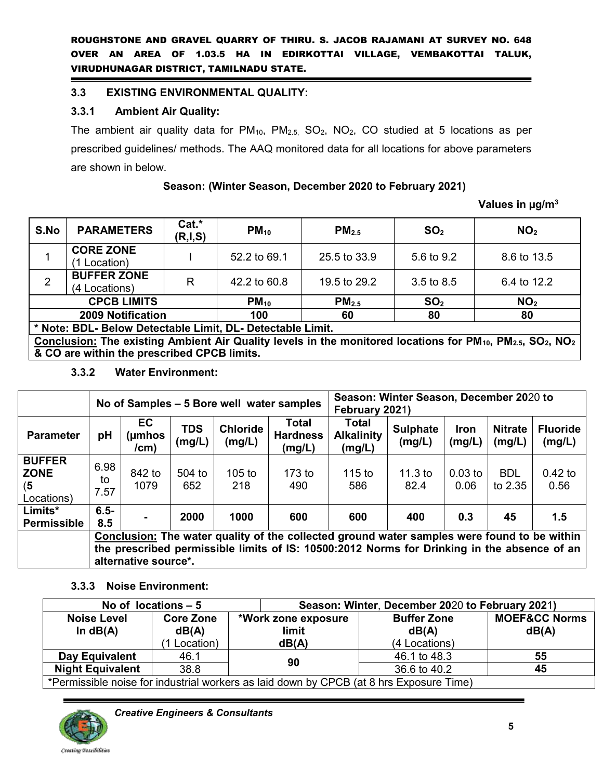#### **3.3 EXISTING ENVIRONMENTAL QUALITY:**

#### **3.3.1 Ambient Air Quality:**

The ambient air quality data for  $PM_{10}$ ,  $PM_{2.5}$ ,  $SO_2$ ,  $NO_2$ ,  $CO$  studied at 5 locations as per prescribed guidelines/ methods. The AAQ monitored data for all locations for above parameters are shown in below.

#### **Season: (Winter Season, December 2020 to February 2021)**

#### **Values in µg/m<sup>3</sup>**

| S.No                                                                                                                                                        | $Cat.*$<br><b>PARAMETERS</b><br>(R,I,S)                                                    |  | $PM_{10}$    | PM <sub>2.5</sub> | SO <sub>2</sub> | NO <sub>2</sub> |  |  |  |
|-------------------------------------------------------------------------------------------------------------------------------------------------------------|--------------------------------------------------------------------------------------------|--|--------------|-------------------|-----------------|-----------------|--|--|--|
|                                                                                                                                                             | <b>CORE ZONE</b><br>1 Location)                                                            |  | 52.2 to 69.1 | 25.5 to 33.9      | 5.6 to 9.2      | 8.6 to 13.5     |  |  |  |
| $\overline{2}$                                                                                                                                              | <b>BUFFER ZONE</b><br>R<br>(4 Locations)                                                   |  | 42.2 to 60.8 | 19.5 to 29.2      |                 | 6.4 to 12.2     |  |  |  |
|                                                                                                                                                             | <b>CPCB LIMITS</b><br>SO <sub>2</sub><br>PM <sub>2.5</sub><br>$PM_{10}$<br>NO <sub>2</sub> |  |              |                   |                 |                 |  |  |  |
|                                                                                                                                                             | <b>2009 Notification</b>                                                                   |  | 100          | 60                | 80              | 80              |  |  |  |
| * Note: BDL- Below Detectable Limit, DL- Detectable Limit.                                                                                                  |                                                                                            |  |              |                   |                 |                 |  |  |  |
| Conclusion: The existing Ambient Air Quality levels in the monitored locations for PM <sub>10</sub> , PM <sub>2.5</sub> , SO <sub>2</sub> , NO <sub>2</sub> |                                                                                            |  |              |                   |                 |                 |  |  |  |
|                                                                                                                                                             | & CO are within the prescribed CPCB limits.                                                |  |              |                   |                 |                 |  |  |  |

**3.3.2 Water Environment:** 

|                                                   | No of Samples – 5 Bore well water samples |                                                                                                                                                                                                                           |                      |                           |                                    | Season: Winter Season, December 2020 to<br>February 2021) |                           |                       |                          |                           |  |
|---------------------------------------------------|-------------------------------------------|---------------------------------------------------------------------------------------------------------------------------------------------------------------------------------------------------------------------------|----------------------|---------------------------|------------------------------------|-----------------------------------------------------------|---------------------------|-----------------------|--------------------------|---------------------------|--|
| <b>Parameter</b>                                  | pH                                        | <b>EC</b><br>(µmhos<br>/cm)                                                                                                                                                                                               | <b>TDS</b><br>(mg/L) | <b>Chloride</b><br>(mg/L) | Total<br><b>Hardness</b><br>(mg/L) | Total<br><b>Alkalinity</b><br>(mg/L)                      | <b>Sulphate</b><br>(mg/L) | <b>Iron</b><br>(mg/L) | <b>Nitrate</b><br>(mg/L) | <b>Fluoride</b><br>(mg/L) |  |
| <b>BUFFER</b><br><b>ZONE</b><br>(5)<br>Locations) | 6.98<br>to<br>7.57                        | 842 to<br>1079                                                                                                                                                                                                            | 504 to<br>652        | 105 to<br>218             | $173$ to<br>490                    | $115$ to<br>586                                           | 11.3 to<br>82.4           | $0.03$ to<br>0.06     | <b>BDL</b><br>to 2.35    | $0.42$ to<br>0.56         |  |
| Limits*<br><b>Permissible</b>                     | $6.5 -$<br>8.5                            |                                                                                                                                                                                                                           | 2000                 | 1000                      | 600                                | 600                                                       | 400                       | 0.3                   | 45                       | 1.5                       |  |
|                                                   |                                           | <b>Conclusion:</b> The water quality of the collected ground water samples were found to be within<br>the prescribed permissible limits of IS: 10500:2012 Norms for Drinking in the absence of an<br>alternative source*. |                      |                           |                                    |                                                           |                           |                       |                          |                           |  |

#### **3.3.3 Noise Environment:**

|                                                                                         | No of locations $-5$      |                                     | Season: Winter, December 2020 to February 2021) |                                   |  |  |  |  |
|-----------------------------------------------------------------------------------------|---------------------------|-------------------------------------|-------------------------------------------------|-----------------------------------|--|--|--|--|
| <b>Noise Level</b><br>In $dB(A)$                                                        | <b>Core Zone</b><br>dB(A) | *Work zone exposure<br><b>limit</b> | <b>Buffer Zone</b><br>dB(A)                     | <b>MOEF&amp;CC Norms</b><br>dB(A) |  |  |  |  |
|                                                                                         | 1 Location)               | dB(A)                               | (4 Locations)                                   |                                   |  |  |  |  |
| Day Equivalent                                                                          | 46.1                      | 90                                  | 46.1 to 48.3                                    | 55                                |  |  |  |  |
| 38.8<br><b>Night Equivalent</b>                                                         |                           |                                     | 36.6 to 40.2                                    | 45                                |  |  |  |  |
| *Permissible noise for industrial workers as laid down by CPCB (at 8 hrs Exposure Time) |                           |                                     |                                                 |                                   |  |  |  |  |

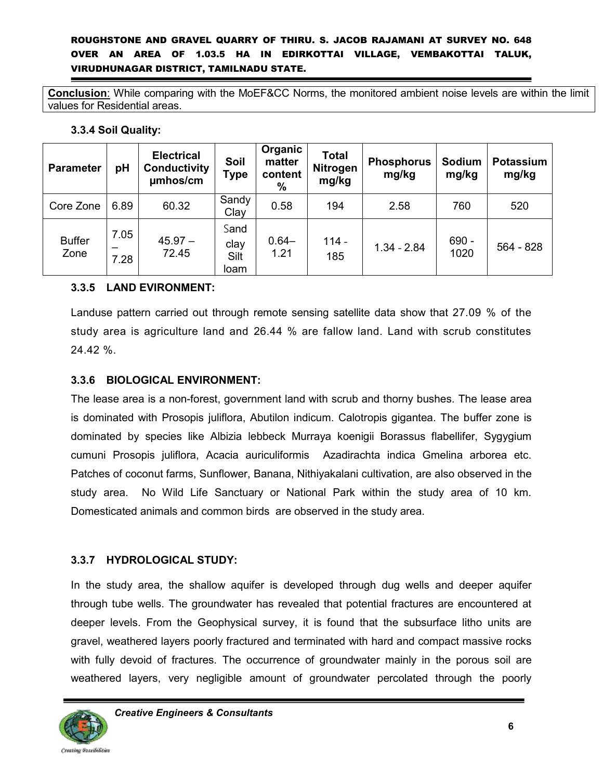**Conclusion**: While comparing with the MoEF&CC Norms, the monitored ambient noise levels are within the limit values for Residential areas.

#### **3.3.4 Soil Quality:**

| <b>Parameter</b>      | рH                | <b>Electrical</b><br><b>Conductivity</b><br>umhos/cm | Soil<br>Type                 | Organic<br>matter<br>content<br>$\frac{9}{6}$ | <b>Total</b><br><b>Nitrogen</b><br>mg/kg | <b>Phosphorus</b><br>mg/kg | Sodium<br>mg/kg | <b>Potassium</b><br>mg/kg |
|-----------------------|-------------------|------------------------------------------------------|------------------------------|-----------------------------------------------|------------------------------------------|----------------------------|-----------------|---------------------------|
| Core Zone             | 6.89              | 60.32                                                | Sandy<br>Clay                | 0.58                                          | 194                                      | 2.58                       | 760             | 520                       |
| <b>Buffer</b><br>Zone | 7.05<br>-<br>7.28 | $45.97 -$<br>72.45                                   | Sand<br>clay<br>Silt<br>loam | $0.64 -$<br>1.21                              | $114 -$<br>185                           | $1.34 - 2.84$              | $690 -$<br>1020 | 564 - 828                 |

#### **3.3.5 LAND EVIRONMENT:**

Landuse pattern carried out through remote sensing satellite data show that 27.09 % of the study area is agriculture land and 26.44 % are fallow land. Land with scrub constitutes 24.42 %.

#### **3.3.6 BIOLOGICAL ENVIRONMENT:**

The lease area is a non-forest, government land with scrub and thorny bushes. The lease area is dominated with Prosopis juliflora, Abutilon indicum. Calotropis gigantea. The buffer zone is dominated by species like Albizia lebbeck Murraya koenigii Borassus flabellifer, Sygygium cumuni Prosopis juliflora, Acacia auriculiformis Azadirachta indica Gmelina arborea etc. Patches of coconut farms, Sunflower, Banana, Nithiyakalani cultivation, are also observed in the study area. No Wild Life Sanctuary or National Park within the study area of 10 km. Domesticated animals and common birds are observed in the study area.

#### **3.3.7 HYDROLOGICAL STUDY:**

In the study area, the shallow aquifer is developed through dug wells and deeper aquifer through tube wells. The groundwater has revealed that potential fractures are encountered at deeper levels. From the Geophysical survey, it is found that the subsurface litho units are gravel, weathered layers poorly fractured and terminated with hard and compact massive rocks with fully devoid of fractures. The occurrence of groundwater mainly in the porous soil are weathered layers, very negligible amount of groundwater percolated through the poorly

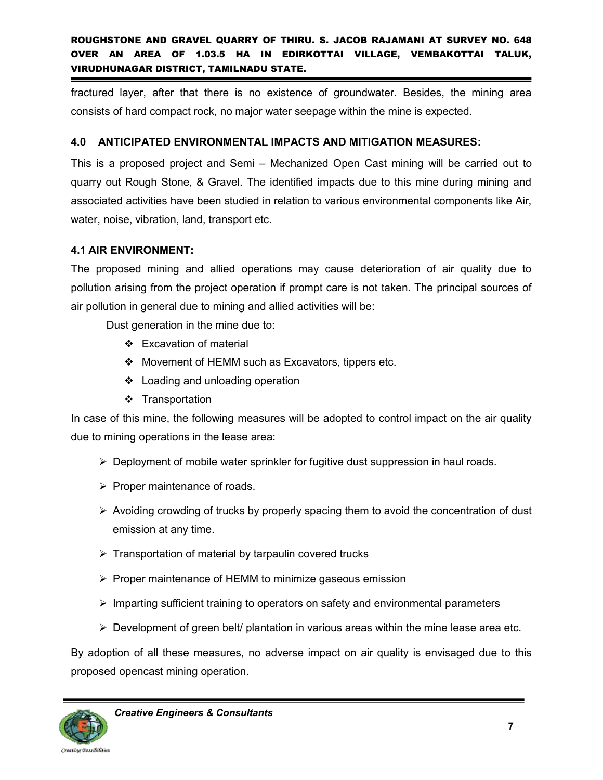fractured layer, after that there is no existence of groundwater. Besides, the mining area consists of hard compact rock, no major water seepage within the mine is expected.

#### **4.0 ANTICIPATED ENVIRONMENTAL IMPACTS AND MITIGATION MEASURES:**

This is a proposed project and Semi – Mechanized Open Cast mining will be carried out to quarry out Rough Stone, & Gravel. The identified impacts due to this mine during mining and associated activities have been studied in relation to various environmental components like Air, water, noise, vibration, land, transport etc.

#### **4.1 AIR ENVIRONMENT:**

The proposed mining and allied operations may cause deterioration of air quality due to pollution arising from the project operation if prompt care is not taken. The principal sources of air pollution in general due to mining and allied activities will be:

Dust generation in the mine due to:

- Excavation of material
- Movement of HEMM such as Excavators, tippers etc.
- Loading and unloading operation
- ❖ Transportation

In case of this mine, the following measures will be adopted to control impact on the air quality due to mining operations in the lease area:

- $\triangleright$  Deployment of mobile water sprinkler for fugitive dust suppression in haul roads.
- $\triangleright$  Proper maintenance of roads.
- $\triangleright$  Avoiding crowding of trucks by properly spacing them to avoid the concentration of dust emission at any time.
- $\triangleright$  Transportation of material by tarpaulin covered trucks
- $\triangleright$  Proper maintenance of HEMM to minimize gaseous emission
- $\triangleright$  Imparting sufficient training to operators on safety and environmental parameters
- $\triangleright$  Development of green belt/ plantation in various areas within the mine lease area etc.

By adoption of all these measures, no adverse impact on air quality is envisaged due to this proposed opencast mining operation.

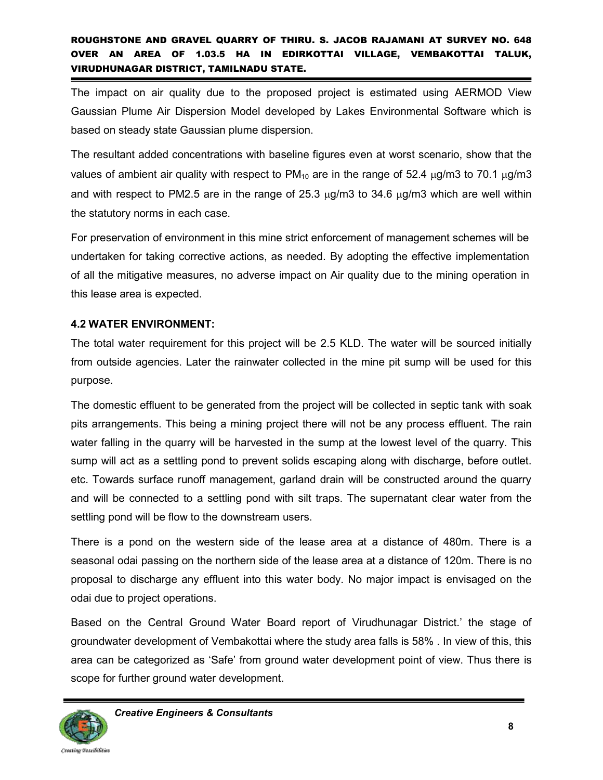The impact on air quality due to the proposed project is estimated using AERMOD View Gaussian Plume Air Dispersion Model developed by Lakes Environmental Software which is based on steady state Gaussian plume dispersion.

The resultant added concentrations with baseline figures even at worst scenario, show that the values of ambient air quality with respect to  $PM_{10}$  are in the range of 52.4  $\mu$ g/m3 to 70.1  $\mu$ g/m3 and with respect to PM2.5 are in the range of  $25.3 \mu g/m3$  to  $34.6 \mu g/m3$  which are well within the statutory norms in each case.

For preservation of environment in this mine strict enforcement of management schemes will be undertaken for taking corrective actions, as needed. By adopting the effective implementation of all the mitigative measures, no adverse impact on Air quality due to the mining operation in this lease area is expected.

#### **4.2 WATER ENVIRONMENT:**

The total water requirement for this project will be 2.5 KLD. The water will be sourced initially from outside agencies. Later the rainwater collected in the mine pit sump will be used for this purpose.

The domestic effluent to be generated from the project will be collected in septic tank with soak pits arrangements. This being a mining project there will not be any process effluent. The rain water falling in the quarry will be harvested in the sump at the lowest level of the quarry. This sump will act as a settling pond to prevent solids escaping along with discharge, before outlet. etc. Towards surface runoff management, garland drain will be constructed around the quarry and will be connected to a settling pond with silt traps. The supernatant clear water from the settling pond will be flow to the downstream users.

There is a pond on the western side of the lease area at a distance of 480m. There is a seasonal odai passing on the northern side of the lease area at a distance of 120m. There is no proposal to discharge any effluent into this water body. No major impact is envisaged on the odai due to project operations.

Based on the Central Ground Water Board report of Virudhunagar District.' the stage of groundwater development of Vembakottai where the study area falls is 58% . In view of this, this area can be categorized as 'Safe' from ground water development point of view. Thus there is scope for further ground water development.

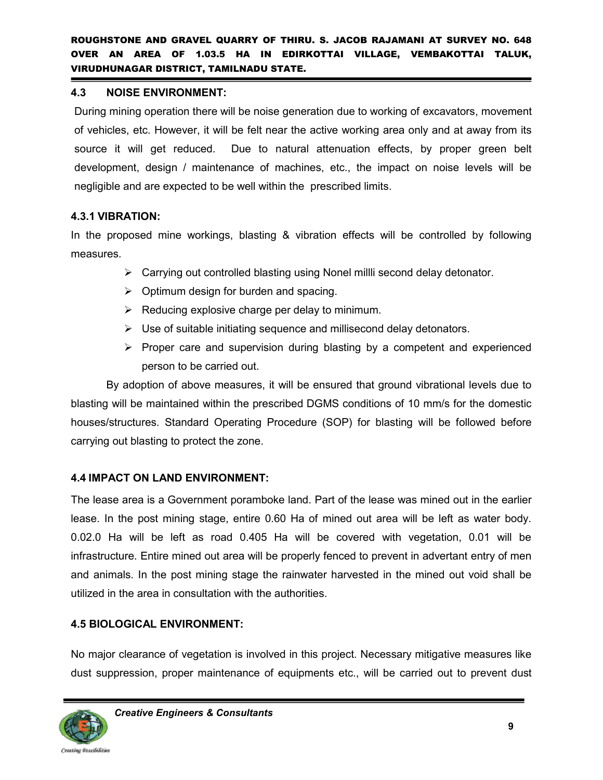#### **4.3 NOISE ENVIRONMENT:**

During mining operation there will be noise generation due to working of excavators, movement of vehicles, etc. However, it will be felt near the active working area only and at away from its source it will get reduced. Due to natural attenuation effects, by proper green belt development, design / maintenance of machines, etc., the impact on noise levels will be negligible and are expected to be well within the prescribed limits.

#### **4.3.1 VIBRATION:**

In the proposed mine workings, blasting & vibration effects will be controlled by following measures.

- $\triangleright$  Carrying out controlled blasting using Nonel millli second delay detonator.
- $\triangleright$  Optimum design for burden and spacing.
- $\triangleright$  Reducing explosive charge per delay to minimum.
- $\triangleright$  Use of suitable initiating sequence and millisecond delay detonators.
- $\triangleright$  Proper care and supervision during blasting by a competent and experienced person to be carried out.

By adoption of above measures, it will be ensured that ground vibrational levels due to blasting will be maintained within the prescribed DGMS conditions of 10 mm/s for the domestic houses/structures. Standard Operating Procedure (SOP) for blasting will be followed before carrying out blasting to protect the zone.

#### **4.4 IMPACT ON LAND ENVIRONMENT:**

The lease area is a Government poramboke land. Part of the lease was mined out in the earlier lease. In the post mining stage, entire 0.60 Ha of mined out area will be left as water body. 0.02.0 Ha will be left as road 0.405 Ha will be covered with vegetation, 0.01 will be infrastructure. Entire mined out area will be properly fenced to prevent in advertant entry of men and animals. In the post mining stage the rainwater harvested in the mined out void shall be utilized in the area in consultation with the authorities.

#### **4.5 BIOLOGICAL ENVIRONMENT:**

No major clearance of vegetation is involved in this project. Necessary mitigative measures like dust suppression, proper maintenance of equipments etc., will be carried out to prevent dust

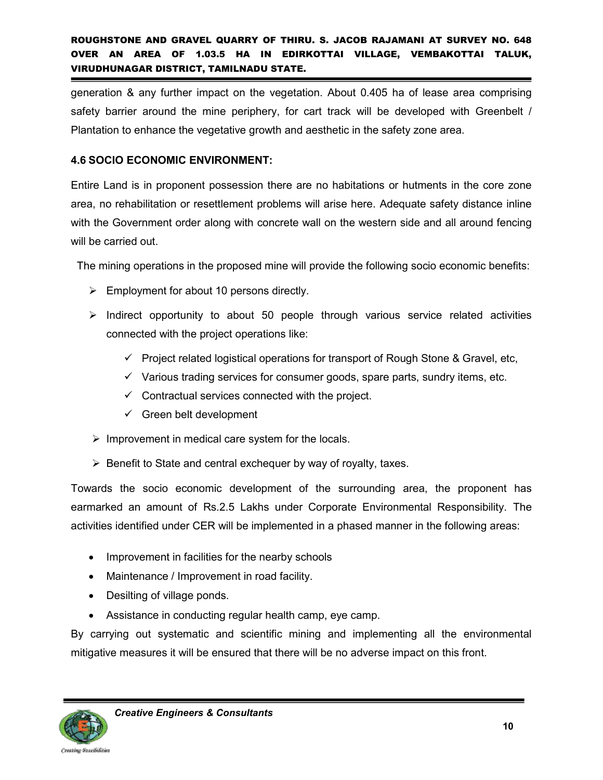generation & any further impact on the vegetation. About 0.405 ha of lease area comprising safety barrier around the mine periphery, for cart track will be developed with Greenbelt / Plantation to enhance the vegetative growth and aesthetic in the safety zone area.

#### **4.6 SOCIO ECONOMIC ENVIRONMENT:**

Entire Land is in proponent possession there are no habitations or hutments in the core zone area, no rehabilitation or resettlement problems will arise here. Adequate safety distance inline with the Government order along with concrete wall on the western side and all around fencing will be carried out.

The mining operations in the proposed mine will provide the following socio economic benefits:

- $\triangleright$  Employment for about 10 persons directly.
- $\triangleright$  Indirect opportunity to about 50 people through various service related activities connected with the project operations like:
	- $\checkmark$  Project related logistical operations for transport of Rough Stone & Gravel, etc,
	- $\checkmark$  Various trading services for consumer goods, spare parts, sundry items, etc.
	- $\checkmark$  Contractual services connected with the project.
	- $\checkmark$  Green belt development
- $\triangleright$  Improvement in medical care system for the locals.
- $\triangleright$  Benefit to State and central exchequer by way of royalty, taxes.

Towards the socio economic development of the surrounding area, the proponent has earmarked an amount of Rs.2.5 Lakhs under Corporate Environmental Responsibility. The activities identified under CER will be implemented in a phased manner in the following areas:

- Improvement in facilities for the nearby schools
- Maintenance / Improvement in road facility.
- Desilting of village ponds.
- Assistance in conducting regular health camp, eye camp.

By carrying out systematic and scientific mining and implementing all the environmental mitigative measures it will be ensured that there will be no adverse impact on this front.

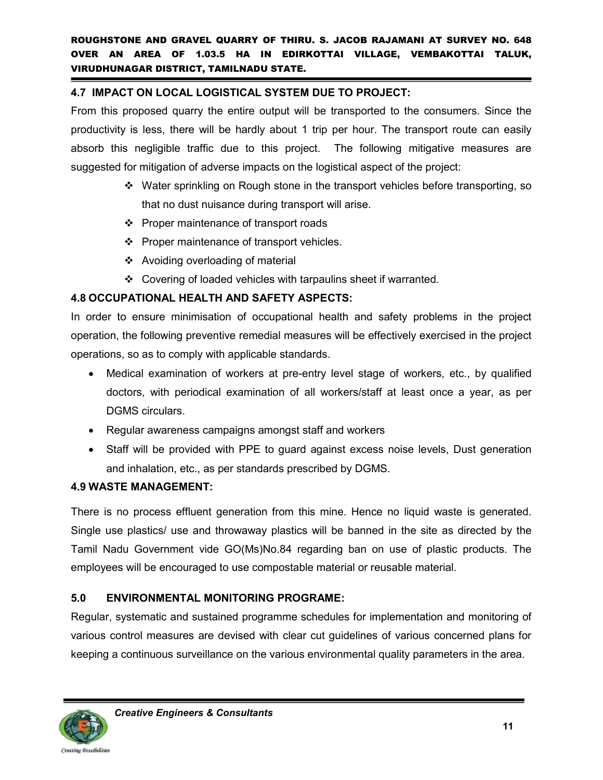#### **4.7 IMPACT ON LOCAL LOGISTICAL SYSTEM DUE TO PROJECT:**

From this proposed quarry the entire output will be transported to the consumers. Since the productivity is less, there will be hardly about 1 trip per hour. The transport route can easily absorb this negligible traffic due to this project. The following mitigative measures are suggested for mitigation of adverse impacts on the logistical aspect of the project:

- Water sprinkling on Rough stone in the transport vehicles before transporting, so that no dust nuisance during transport will arise.
- ❖ Proper maintenance of transport roads
- ❖ Proper maintenance of transport vehicles.
- Avoiding overloading of material
- Covering of loaded vehicles with tarpaulins sheet if warranted.

#### **4.8 OCCUPATIONAL HEALTH AND SAFETY ASPECTS:**

In order to ensure minimisation of occupational health and safety problems in the project operation, the following preventive remedial measures will be effectively exercised in the project operations, so as to comply with applicable standards.

- Medical examination of workers at pre-entry level stage of workers, etc., by qualified doctors, with periodical examination of all workers/staff at least once a year, as per DGMS circulars.
- Regular awareness campaigns amongst staff and workers
- Staff will be provided with PPE to quard against excess noise levels, Dust generation and inhalation, etc., as per standards prescribed by DGMS.

#### **4.9 WASTE MANAGEMENT:**

There is no process effluent generation from this mine. Hence no liquid waste is generated. Single use plastics/ use and throwaway plastics will be banned in the site as directed by the Tamil Nadu Government vide GO(Ms)No.84 regarding ban on use of plastic products. The employees will be encouraged to use compostable material or reusable material.

#### **5.0 ENVIRONMENTAL MONITORING PROGRAME:**

Regular, systematic and sustained programme schedules for implementation and monitoring of various control measures are devised with clear cut guidelines of various concerned plans for keeping a continuous surveillance on the various environmental quality parameters in the area.

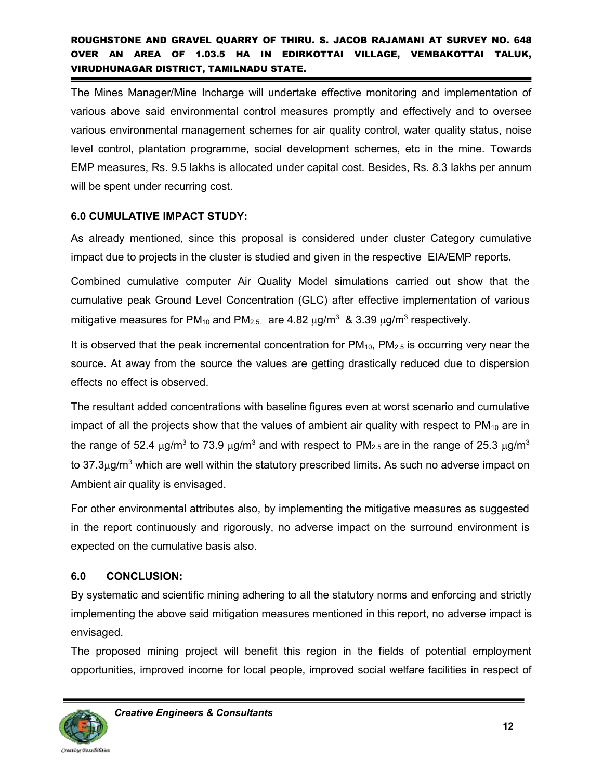The Mines Manager/Mine Incharge will undertake effective monitoring and implementation of various above said environmental control measures promptly and effectively and to oversee various environmental management schemes for air quality control, water quality status, noise level control, plantation programme, social development schemes, etc in the mine. Towards EMP measures, Rs. 9.5 lakhs is allocated under capital cost. Besides, Rs. 8.3 lakhs per annum will be spent under recurring cost.

#### **6.0 CUMULATIVE IMPACT STUDY:**

As already mentioned, since this proposal is considered under cluster Category cumulative impact due to projects in the cluster is studied and given in the respective EIA/EMP reports.

Combined cumulative computer Air Quality Model simulations carried out show that the cumulative peak Ground Level Concentration (GLC) after effective implementation of various mitigative measures for PM<sub>10</sub> and PM<sub>2.5.</sub> are 4.82  $\mu$ g/m $^3$  & 3.39  $\mu$ g/m $^3$  respectively.

It is observed that the peak incremental concentration for  $PM_{10}$ ,  $PM_{2.5}$  is occurring very near the source. At away from the source the values are getting drastically reduced due to dispersion effects no effect is observed.

The resultant added concentrations with baseline figures even at worst scenario and cumulative impact of all the projects show that the values of ambient air quality with respect to  $PM_{10}$  are in the range of 52.4  $\mu$ g/m $^3$  to 73.9  $\mu$ g/m $^3$  and with respect to PM $_{2.5}$  are in the range of 25.3  $\mu$ g/m $^3$ to 37.3 $\mu$ g/m $^3$  which are well within the statutory prescribed limits. As such no adverse impact on Ambient air quality is envisaged.

For other environmental attributes also, by implementing the mitigative measures as suggested in the report continuously and rigorously, no adverse impact on the surround environment is expected on the cumulative basis also.

#### **6.0 CONCLUSION:**

By systematic and scientific mining adhering to all the statutory norms and enforcing and strictly implementing the above said mitigation measures mentioned in this report, no adverse impact is envisaged.

The proposed mining project will benefit this region in the fields of potential employment opportunities, improved income for local people, improved social welfare facilities in respect of



Creating Possibilities